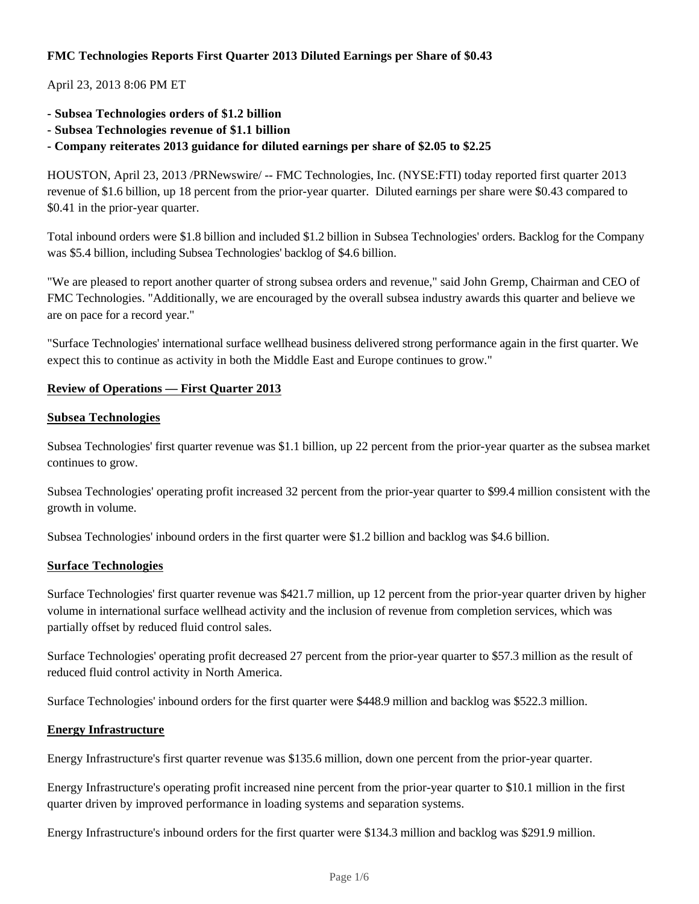# **FMC Technologies Reports First Quarter 2013 Diluted Earnings per Share of \$0.43**

# April 23, 2013 8:06 PM ET

- **Subsea Technologies orders of \$1.2 billion**
- **Subsea Technologies revenue of \$1.1 billion**

**- Company reiterates 2013 guidance for diluted earnings per share of \$2.05 to \$2.25**

HOUSTON, April 23, 2013 /PRNewswire/ -- FMC Technologies, Inc. (NYSE:FTI) today reported first quarter 2013 revenue of \$1.6 billion, up 18 percent from the prior-year quarter. Diluted earnings per share were \$0.43 compared to \$0.41 in the prior-year quarter.

Total inbound orders were \$1.8 billion and included \$1.2 billion in Subsea Technologies' orders. Backlog for the Company was \$5.4 billion, including Subsea Technologies' backlog of \$4.6 billion.

"We are pleased to report another quarter of strong subsea orders and revenue," said John Gremp, Chairman and CEO of FMC Technologies. "Additionally, we are encouraged by the overall subsea industry awards this quarter and believe we are on pace for a record year."

"Surface Technologies' international surface wellhead business delivered strong performance again in the first quarter. We expect this to continue as activity in both the Middle East and Europe continues to grow."

## **Review of Operations — First Quarter 2013**

## **Subsea Technologies**

Subsea Technologies' first quarter revenue was \$1.1 billion, up 22 percent from the prior-year quarter as the subsea market continues to grow.

Subsea Technologies' operating profit increased 32 percent from the prior-year quarter to \$99.4 million consistent with the growth in volume.

Subsea Technologies' inbound orders in the first quarter were \$1.2 billion and backlog was \$4.6 billion.

## **Surface Technologies**

Surface Technologies' first quarter revenue was \$421.7 million, up 12 percent from the prior-year quarter driven by higher volume in international surface wellhead activity and the inclusion of revenue from completion services, which was partially offset by reduced fluid control sales.

Surface Technologies' operating profit decreased 27 percent from the prior-year quarter to \$57.3 million as the result of reduced fluid control activity in North America.

Surface Technologies' inbound orders for the first quarter were \$448.9 million and backlog was \$522.3 million.

## **Energy Infrastructure**

Energy Infrastructure's first quarter revenue was \$135.6 million, down one percent from the prior-year quarter.

Energy Infrastructure's operating profit increased nine percent from the prior-year quarter to \$10.1 million in the first quarter driven by improved performance in loading systems and separation systems.

Energy Infrastructure's inbound orders for the first quarter were \$134.3 million and backlog was \$291.9 million.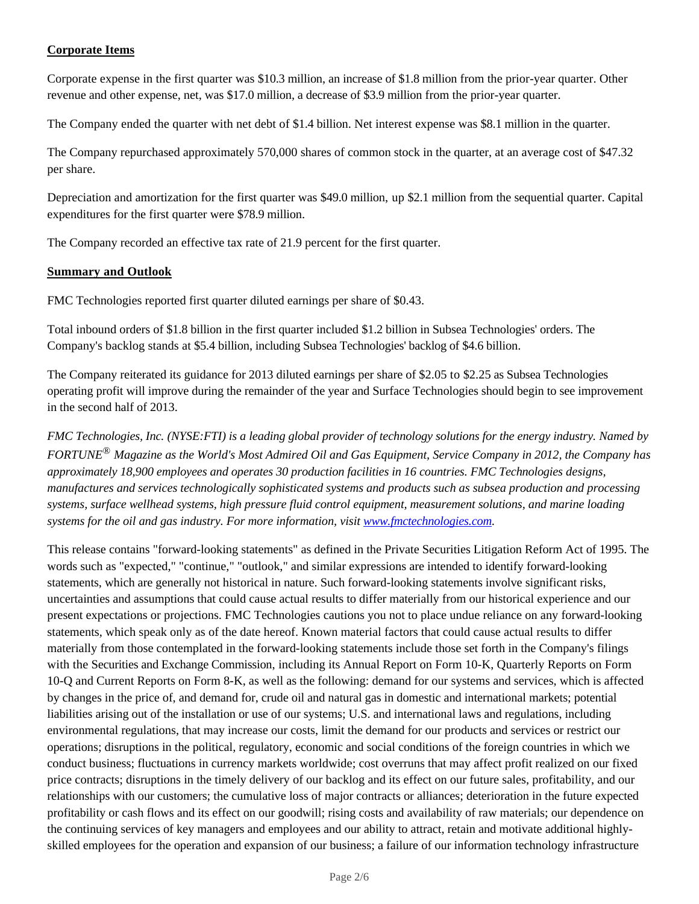# **Corporate Items**

Corporate expense in the first quarter was \$10.3 million, an increase of \$1.8 million from the prior-year quarter. Other revenue and other expense, net, was \$17.0 million, a decrease of \$3.9 million from the prior-year quarter.

The Company ended the quarter with net debt of \$1.4 billion. Net interest expense was \$8.1 million in the quarter.

The Company repurchased approximately 570,000 shares of common stock in the quarter, at an average cost of \$47.32 per share.

Depreciation and amortization for the first quarter was \$49.0 million, up \$2.1 million from the sequential quarter. Capital expenditures for the first quarter were \$78.9 million.

The Company recorded an effective tax rate of 21.9 percent for the first quarter.

## **Summary and Outlook**

FMC Technologies reported first quarter diluted earnings per share of \$0.43.

Total inbound orders of \$1.8 billion in the first quarter included \$1.2 billion in Subsea Technologies' orders. The Company's backlog stands at \$5.4 billion, including Subsea Technologies' backlog of \$4.6 billion.

The Company reiterated its guidance for 2013 diluted earnings per share of \$2.05 to \$2.25 as Subsea Technologies operating profit will improve during the remainder of the year and Surface Technologies should begin to see improvement in the second half of 2013.

*FMC Technologies, Inc. (NYSE:FTI) is a leading global provider of technology solutions for the energy industry. Named by FORTUNE® Magazine as the World's Most Admired Oil and Gas Equipment, Service Company in 2012, the Company has approximately 18,900 employees and operates 30 production facilities in 16 countries. FMC Technologies designs, manufactures and services technologically sophisticated systems and products such as subsea production and processing systems, surface wellhead systems, high pressure fluid control equipment, measurement solutions, and marine loading systems for the oil and gas industry. For more information, visit www.fmctechnologies.com.*

This release contains "forward-looking statements" as defined in the Private Securities Litigation Reform Act of 1995. The words such as "expected," "continue," "outlook," and similar expressions are intended to identify forward-looking statements, which are generally not historical in nature. Such forward-looking statements involve significant risks, uncertainties and assumptions that could cause actual results to differ materially from our historical experience and our present expectations or projections. FMC Technologies cautions you not to place undue reliance on any forward-looking statements, which speak only as of the date hereof. Known material factors that could cause actual results to differ materially from those contemplated in the forward-looking statements include those set forth in the Company's filings with the Securities and Exchange Commission, including its Annual Report on Form 10-K, Quarterly Reports on Form 10-Q and Current Reports on Form 8-K, as well as the following: demand for our systems and services, which is affected by changes in the price of, and demand for, crude oil and natural gas in domestic and international markets; potential liabilities arising out of the installation or use of our systems; U.S. and international laws and regulations, including environmental regulations, that may increase our costs, limit the demand for our products and services or restrict our operations; disruptions in the political, regulatory, economic and social conditions of the foreign countries in which we conduct business; fluctuations in currency markets worldwide; cost overruns that may affect profit realized on our fixed price contracts; disruptions in the timely delivery of our backlog and its effect on our future sales, profitability, and our relationships with our customers; the cumulative loss of major contracts or alliances; deterioration in the future expected profitability or cash flows and its effect on our goodwill; rising costs and availability of raw materials; our dependence on the continuing services of key managers and employees and our ability to attract, retain and motivate additional highlyskilled employees for the operation and expansion of our business; a failure of our information technology infrastructure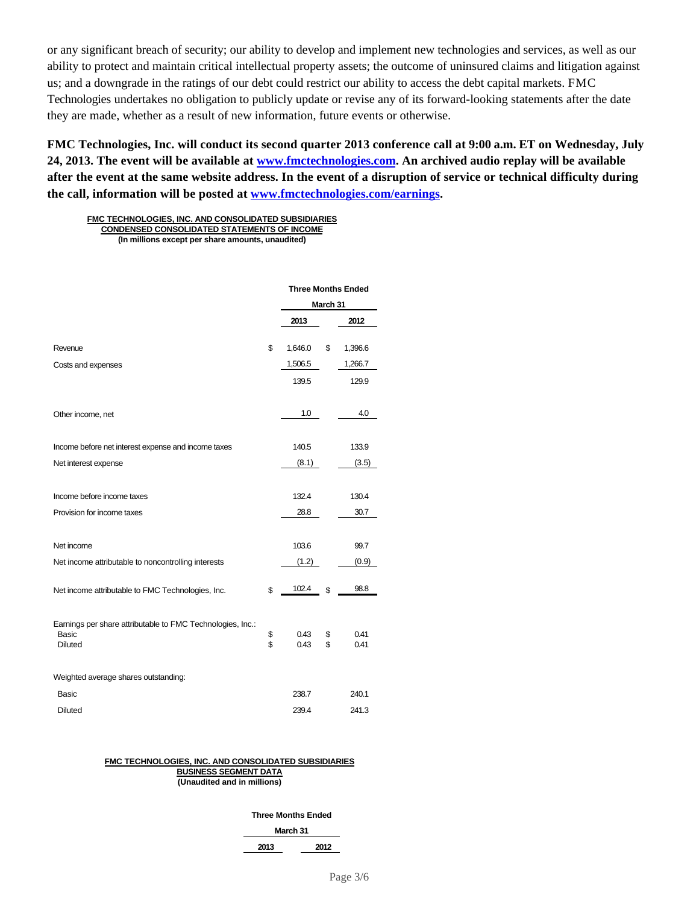or any significant breach of security; our ability to develop and implement new technologies and services, as well as our ability to protect and maintain critical intellectual property assets; the outcome of uninsured claims and litigation against us; and a downgrade in the ratings of our debt could restrict our ability to access the debt capital markets. FMC Technologies undertakes no obligation to publicly update or revise any of its forward-looking statements after the date they are made, whether as a result of new information, future events or otherwise.

**FMC Technologies, Inc. will conduct its second quarter 2013 conference call at 9:00 a.m. ET on Wednesday, July 24, 2013. The event will be available at www.fmctechnologies.com. An archived audio replay will be available after the event at the same website address. In the event of a disruption of service or technical difficulty during the call, information will be posted at www.fmctechnologies.com/earnings.**

**FMC TECHNOLOGIES, INC. AND CONSOLIDATED SUBSIDIARIES CONDENSED CONSOLIDATED STATEMENTS OF INCOME (In millions except per share amounts, unaudited)**

|                                                                     | <b>Three Months Ended</b> |          |         |  |
|---------------------------------------------------------------------|---------------------------|----------|---------|--|
|                                                                     |                           | March 31 |         |  |
|                                                                     | 2013                      |          | 2012    |  |
| Revenue                                                             | \$<br>1,646.0             | \$       | 1,396.6 |  |
| Costs and expenses                                                  | 1,506.5                   |          | 1,266.7 |  |
|                                                                     | 139.5                     |          | 129.9   |  |
| Other income, net                                                   | 1.0                       |          | 4.0     |  |
|                                                                     |                           |          |         |  |
| Income before net interest expense and income taxes                 | 140.5                     |          | 133.9   |  |
| Net interest expense                                                | (8.1)                     |          | (3.5)   |  |
| Income before income taxes                                          | 132.4                     |          | 130.4   |  |
|                                                                     |                           |          | 30.7    |  |
| Provision for income taxes                                          | 28.8                      |          |         |  |
| Net income                                                          | 103.6                     |          | 99.7    |  |
| Net income attributable to noncontrolling interests                 | (1.2)                     |          | (0.9)   |  |
| Net income attributable to FMC Technologies, Inc.                   | \$<br>102.4               | \$       | 98.8    |  |
|                                                                     |                           |          |         |  |
| Earnings per share attributable to FMC Technologies, Inc.:<br>Basic | \$<br>0.43                | \$       | 0.41    |  |
| <b>Diluted</b>                                                      | \$<br>0.43                | \$       | 0.41    |  |
| Weighted average shares outstanding:                                |                           |          |         |  |
| Basic                                                               | 238.7                     |          | 240.1   |  |
| <b>Diluted</b>                                                      | 239.4                     |          | 241.3   |  |

#### **FMC TECHNOLOGIES, INC. AND CONSOLIDATED SUBSIDIARIES BUSINESS SEGMENT DATA**

**(Unaudited and in millions)**

#### **Three Months Ended**

**March 31**

**2013 2012**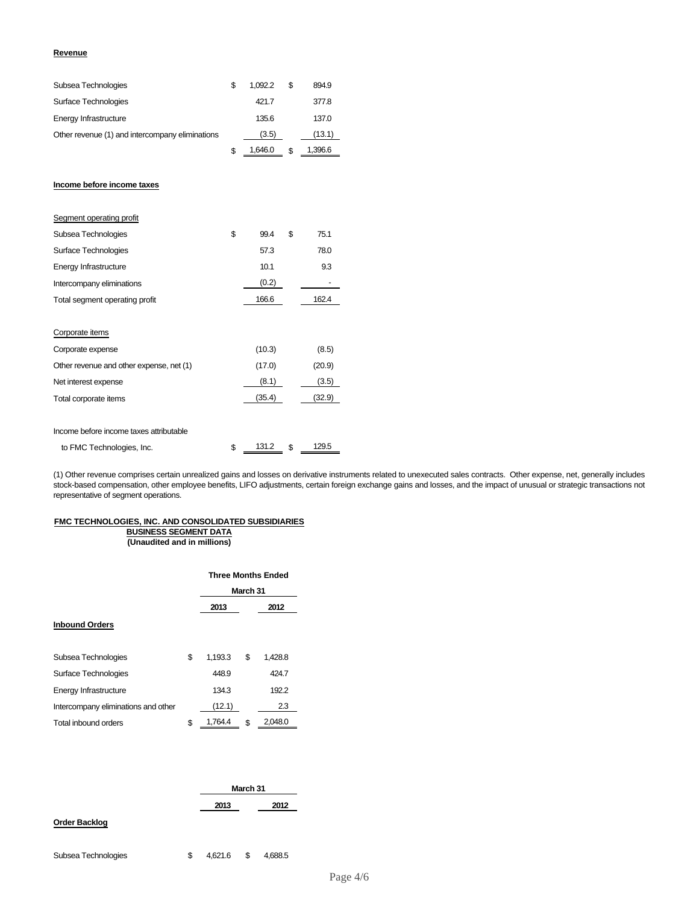#### **Revenue**

| Subsea Technologies                             | \$<br>1,092.2 | \$<br>894.9   |
|-------------------------------------------------|---------------|---------------|
| Surface Technologies                            | 421.7         | 377.8         |
| Energy Infrastructure                           | 135.6         | 137.0         |
| Other revenue (1) and intercompany eliminations | (3.5)         | (13.1)        |
|                                                 | \$<br>1,646.0 | \$<br>1,396.6 |
|                                                 |               |               |
| Income before income taxes                      |               |               |
| Segment operating profit                        |               |               |
| Subsea Technologies                             | \$<br>99.4    | \$<br>75.1    |
| Surface Technologies                            | 57.3          | 78.0          |
| Energy Infrastructure                           | 10.1          | 9.3           |
| Intercompany eliminations                       | (0.2)         |               |
| Total segment operating profit                  | 166.6         | 162.4         |
| Corporate items                                 |               |               |
| Corporate expense                               | (10.3)        | (8.5)         |
| Other revenue and other expense, net (1)        | (17.0)        | (20.9)        |
| Net interest expense                            | (8.1)         | (3.5)         |
| Total corporate items                           | (35.4)        | (32.9)        |
| Income before income taxes attributable         |               |               |

to FMC Technologies, Inc.  $\frac{$131.2}{$}$  \$  $\frac{129.5}{$}$ 

(1) Other revenue comprises certain unrealized gains and losses on derivative instruments related to unexecuted sales contracts. Other expense, net, generally includes stock-based compensation, other employee benefits, LIFO adjustments, certain foreign exchange gains and losses, and the impact of unusual or strategic transactions not representative of segment operations.

#### **FMC TECHNOLOGIES, INC. AND CONSOLIDATED SUBSIDIARIES BUSINESS SEGMENT DATA**

**(Unaudited and in millions)**

|                                     | <b>Three Months Ended</b><br>March 31 |    |         |  |
|-------------------------------------|---------------------------------------|----|---------|--|
|                                     | 2013<br>2012                          |    |         |  |
| <b>Inbound Orders</b>               |                                       |    |         |  |
|                                     |                                       |    |         |  |
| Subsea Technologies                 | \$<br>1,193.3                         | \$ | 1,428.8 |  |
| Surface Technologies                | 448.9                                 |    | 424.7   |  |
| Energy Infrastructure               | 134.3                                 |    | 192.2   |  |
| Intercompany eliminations and other | (12.1)                                |    | 2.3     |  |
| Total inbound orders                | \$<br>1,764.4                         | \$ | 2,048.0 |  |

|                      |      | March 31 |  |  |  |
|----------------------|------|----------|--|--|--|
|                      | 2013 | 2012     |  |  |  |
| <b>Order Backlog</b> |      |          |  |  |  |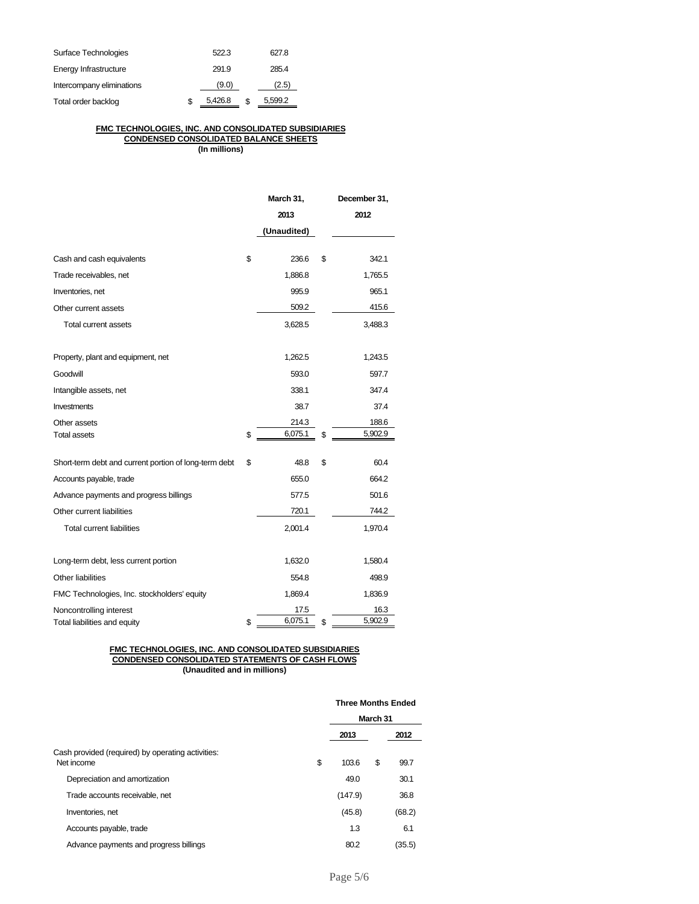| Surface Technologies      | 522.3   | 627.8         |
|---------------------------|---------|---------------|
| Energy Infrastructure     | 291.9   | 285.4         |
| Intercompany eliminations | (9.0)   | (2.5)         |
| Total order backlog       | 5,426.8 | \$<br>5,599.2 |

### **FMC TECHNOLOGIES, INC. AND CONSOLIDATED SUBSIDIARIES CONDENSED CONSOLIDATED BALANCE SHEETS**

**(In millions)**

|                                                       | March 31,     |    | December 31, |
|-------------------------------------------------------|---------------|----|--------------|
|                                                       | 2013          |    | 2012         |
|                                                       | (Unaudited)   |    |              |
| Cash and cash equivalents                             | \$<br>236.6   | \$ | 342.1        |
| Trade receivables, net                                | 1,886.8       |    | 1,765.5      |
| Inventories, net                                      | 995.9         |    | 965.1        |
| Other current assets                                  | 509.2         |    | 415.6        |
| Total current assets                                  | 3,628.5       |    | 3,488.3      |
| Property, plant and equipment, net                    | 1,262.5       |    | 1,243.5      |
| Goodwill                                              | 593.0         |    | 597.7        |
| Intangible assets, net                                | 338.1         |    | 347.4        |
| Investments                                           | 38.7          |    | 37.4         |
| Other assets                                          | 214.3         |    | 188.6        |
| <b>Total assets</b>                                   | \$<br>6,075.1 | \$ | 5,902.9      |
| Short-term debt and current portion of long-term debt | \$<br>48.8    | \$ | 60.4         |
| Accounts payable, trade                               | 655.0         |    | 664.2        |
| Advance payments and progress billings                | 577.5         |    | 501.6        |
| Other current liabilities                             | 720.1         |    | 744.2        |
| <b>Total current liabilities</b>                      | 2,001.4       |    | 1,970.4      |
| Long-term debt, less current portion                  | 1,632.0       |    | 1,580.4      |
| Other liabilities                                     | 554.8         |    | 498.9        |
| FMC Technologies, Inc. stockholders' equity           | 1,869.4       |    | 1,836.9      |
| Noncontrolling interest                               | 17.5          |    | 16.3         |
| Total liabilities and equity                          | \$<br>6,075.1 | \$ | 5,902.9      |

#### **FMC TECHNOLOGIES, INC. AND CONSOLIDATED SUBSIDIARIES CONDENSED CONSOLIDATED STATEMENTS OF CASH FLOWS (Unaudited and in millions)**

|                                                                 | <b>Three Months Ended</b> |    |        |  |
|-----------------------------------------------------------------|---------------------------|----|--------|--|
|                                                                 | March 31                  |    |        |  |
|                                                                 | 2013                      |    | 2012   |  |
| Cash provided (required) by operating activities:<br>Net income | \$<br>103.6               | \$ | 99.7   |  |
| Depreciation and amortization                                   | 49.0                      |    | 30.1   |  |
| Trade accounts receivable, net                                  | (147.9)                   |    | 36.8   |  |
| Inventories, net                                                | (45.8)                    |    | (68.2) |  |
| Accounts payable, trade                                         | 1.3                       |    | 6.1    |  |
| Advance payments and progress billings                          | 80.2                      |    | (35.5) |  |